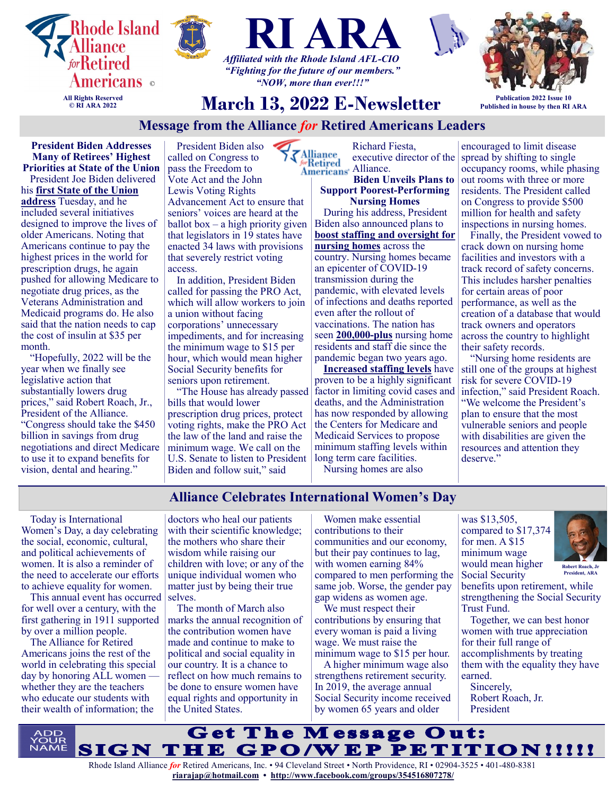







**Publication 2022 Issue 10 Published in house by then RI ARA**

# **March 13, 2022 E-Newsletter**

*"NOW, more than ever!!!"*

## **Message from the Alliance** *for* **Retired Americans Leaders**

**President Biden Addresses Many of Retirees' Highest Priorities at State of the Union** President Joe Biden delivered his **[first State of the Union](https://u1584542.ct.sendgrid.net/ss/c/atcYNHk4Eh2YdGnwBh-YDGI2GVGELfT0H8VTPji2jDDOwrM4_eikWHt3kAj4a7kDx9DmVfV5zGr-6ZuuV2zF190J11D5jyA7WdVzb0ngurhkXpVMCsRg3nm0wBVHZQ0ItyS5xmRRYZdHvfUcZ0X00t5YBv6ZiVVi9MZOV8q8i1o_SYBzFN-Q5dmMBFtcTuPla1c-7uLNC3WftNUsvSITrDUsHwBE5)  [address](https://u1584542.ct.sendgrid.net/ss/c/atcYNHk4Eh2YdGnwBh-YDGI2GVGELfT0H8VTPji2jDDOwrM4_eikWHt3kAj4a7kDx9DmVfV5zGr-6ZuuV2zF190J11D5jyA7WdVzb0ngurhkXpVMCsRg3nm0wBVHZQ0ItyS5xmRRYZdHvfUcZ0X00t5YBv6ZiVVi9MZOV8q8i1o_SYBzFN-Q5dmMBFtcTuPla1c-7uLNC3WftNUsvSITrDUsHwBE5)** Tuesday, and he included several initiatives designed to improve the lives of older Americans. Noting that Americans continue to pay the highest prices in the world for prescription drugs, he again pushed for allowing Medicare to negotiate drug prices, as the Veterans Administration and Medicaid programs do. He also said that the nation needs to cap the cost of insulin at \$35 per month.

"Hopefully, 2022 will be the year when we finally see legislative action that substantially lowers drug prices," said Robert Roach, Jr., President of the Alliance. "Congress should take the \$450 billion in savings from drug negotiations and direct Medicare to use it to expand benefits for vision, dental and hearing."

President Biden also Alliance called on Congress to pass the Freedom to Vote Act and the John Lewis Voting Rights Advancement Act to ensure that seniors' voices are heard at the ballot box – a high priority given that legislators in 19 states have enacted 34 laws with provisions that severely restrict voting access.

In addition, President Biden called for passing the PRO Act, which will allow workers to join a union without facing corporations' unnecessary impediments, and for increasing the minimum wage to \$15 per hour, which would mean higher Social Security benefits for seniors upon retirement.

"The House has already passed bills that would lower prescription drug prices, protect voting rights, make the PRO Act the law of the land and raise the minimum wage. We call on the U.S. Senate to listen to President Biden and follow suit," said

Richard Fiesta, executive director of the Americans' Alliance. <u> Metired </u>

**Biden Unveils Plans to Support Poorest-Performing Nursing Homes** During his address, President Biden also announced plans to **[boost staffing and oversight for](https://u1584542.ct.sendgrid.net/ss/c/atcYNHk4Eh2YdGnwBh-YDDUV27dB1SLFWpo-Uwox6EMS-133YkXvE9Q-PBVY-QYMHlUD0XhhtzygZLAsFBHZLkNM7ouxYIgPrmXQ5Oh5XXgt6wMhRg-y2TfSQB0f3Fw9VnMcaxYw47PYPGToVquBS2UOEMQNu8eYfSjR7jLA01q0JbUkGRIztIEyDgFOUG159QiTyjnaT25gDASFzD-rxp9qDJCTU)  [nursing homes](https://u1584542.ct.sendgrid.net/ss/c/atcYNHk4Eh2YdGnwBh-YDDUV27dB1SLFWpo-Uwox6EMS-133YkXvE9Q-PBVY-QYMHlUD0XhhtzygZLAsFBHZLkNM7ouxYIgPrmXQ5Oh5XXgt6wMhRg-y2TfSQB0f3Fw9VnMcaxYw47PYPGToVquBS2UOEMQNu8eYfSjR7jLA01q0JbUkGRIztIEyDgFOUG159QiTyjnaT25gDASFzD-rxp9qDJCTU)** across the country. Nursing homes became an epicenter of COVID-19 transmission during the pandemic, with elevated levels of infections and deaths reported even after the rollout of

vaccinations. The nation has seen **[200,000](https://u1584542.ct.sendgrid.net/ss/c/atcYNHk4Eh2YdGnwBh-YDD6RvQTu76wt9dphzEXBNyWvAgNGOCWOKEQeGQ-GoKIwZKAlHzCAmzbH3rzbpdKfFgrlbH-7d9DKm6rlXriAdtBVoDlT08DBdroqC8rGqjJg1slAqrc2KZSV6yLAzpz9LvIqo0lvRWYefrOhZfbwgsiSJc4gLfuJahRG8-nMD1Rp8f7pwSmjSjtS4yk2qc33EIjly7ktT)-plus** nursing home residents and staff die since the pandemic began two years ago.

**[Increased staffing levels](https://u1584542.ct.sendgrid.net/ss/c/P8Elou2Rvc0qoMPEUZrMXU_uDHPtnAzq4xgN7FDu-5fFw7iAynsJ_aRySYRbZ7auTPFBytgRY8Q6VVPToW5VL9GDFYti7JGR7Tyfk0Pmy56ec5IqrjiAOyt0ZTT7MVKRZ36sUQ6u4IhMwYKOdFTT_bacy7ye4fYtLTIaNmW9O0c1-3pT52Kww1rCm0IVhZoT9Hd0nOM0FlC0M2XxUb442EbtoEWFU)** have proven to be a highly significant factor in limiting covid cases and deaths, and the Administration has now responded by allowing the Centers for Medicare and Medicaid Services to propose minimum staffing levels within long term care facilities. Nursing homes are also

encouraged to limit disease spread by shifting to single occupancy rooms, while phasing out rooms with three or more residents. The President called on Congress to provide \$500 million for health and safety inspections in nursing homes.

Finally, the President vowed to crack down on nursing home facilities and investors with a track record of safety concerns. This includes harsher penalties for certain areas of poor performance, as well as the creation of a database that would track owners and operators across the country to highlight their safety records.

"Nursing home residents are still one of the groups at highest risk for severe COVID-19 infection," said President Roach. "We welcome the President's plan to ensure that the most vulnerable seniors and people with disabilities are given the resources and attention they deserve."

## **Alliance Celebrates International Women's Day**

Today is International Women's Day, a day celebrating the social, economic, cultural, and political achievements of women. It is also a reminder of the need to accelerate our efforts to achieve equality for women.

This annual event has occurred selves. for well over a century, with the first gathering in 1911 supported by over a million people.

The Alliance for Retired Americans joins the rest of the world in celebrating this special day by honoring ALL women whether they are the teachers who educate our students with their wealth of information; the

doctors who heal our patients with their scientific knowledge; the mothers who share their wisdom while raising our children with love; or any of the unique individual women who matter just by being their true

The month of March also marks the annual recognition of the contribution women have made and continue to make to political and social equality in our country. It is a chance to reflect on how much remains to be done to ensure women have equal rights and opportunity in the United States.

Women make essential contributions to their communities and our economy, but their pay continues to lag, with women earning 84% compared to men performing the same job. Worse, the gender pay gap widens as women age.

We must respect their contributions by ensuring that every woman is paid a living wage. We must raise the minimum wage to \$15 per hour.

A higher minimum wage also strengthens retirement security. In 2019, the average annual Social Security income received by women 65 years and older

was \$13,505, compared to \$17,374 for men. A \$15 minimum wage would mean higher Social Security



**President, ARA**

benefits upon retirement, while strengthening the Social Security Trust Fund.

Together, we can best honor women with true appreciation for their full range of accomplishments by treating them with the equality they have earned.

Sincerely, Robert Roach, Jr. President



Rhode Island Alliance *for* Retired Americans, Inc. • 94 Cleveland Street • North Providence, RI • 02904-3525 • 401-480-8381 **[riarajap@hotmail.com](mailto:riarajap@hotmail.com) • [http://www.facebook.com/groups/354516807278/](https://www.facebook.com/groups/354516807278/)**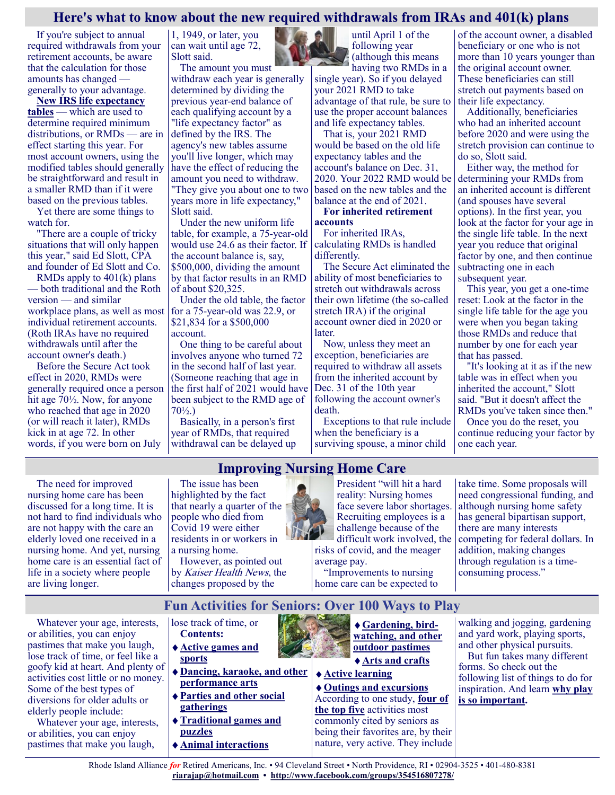## **Here's what to know about the new required withdrawals from IRAs and 401(k) plans**

If you're subject to annual required withdrawals from your retirement accounts, be aware that the calculation for those amounts has changed generally to your advantage.

**[New IRS life expectancy](https://www.federalregister.gov/documents/2020/11/12/2020-24723/updated-life-expectancy-and-distribution-period-tables-used-for-purposes-of-determining-minimum#p-73)  [tables](https://www.federalregister.gov/documents/2020/11/12/2020-24723/updated-life-expectancy-and-distribution-period-tables-used-for-purposes-of-determining-minimum#p-73)** — which are used to determine required minimum distributions, or RMDs — are in effect starting this year. For most account owners, using the modified tables should generally be straightforward and result in a smaller RMD than if it were based on the previous tables.

Yet there are some things to watch for.

"There are a couple of tricky situations that will only happen this year," said Ed Slott, CPA and founder of Ed Slott and Co.

RMDs apply to 401(k) plans — both traditional and the Roth version — and similar workplace plans, as well as most individual retirement accounts. (Roth IRAs have no required withdrawals until after the account owner's death.)

Before the Secure Act took effect in 2020, RMDs were generally required once a person hit age 70½. Now, for anyone who reached that age in 2020 (or will reach it later), RMDs kick in at age 72. In other words, if you were born on July

1, 1949, or later, you can wait until age 72, Slott said. The amount you must

withdraw each year is generally determined by dividing the previous year-end balance of each qualifying account by a "life expectancy factor" as defined by the IRS. The agency's new tables assume you'll live longer, which may have the effect of reducing the amount you need to withdraw. "They give you about one to two years more in life expectancy," Slott said.

Under the new uniform life table, for example, a 75-year-old would use 24.6 as their factor. If the account balance is, say, \$500,000, dividing the amount by that factor results in an RMD of about \$20,325.

Under the old table, the factor for a 75-year-old was 22.9, or \$21,834 for a \$500,000 account.

One thing to be careful about involves anyone who turned 72 in the second half of last year. (Someone reaching that age in the first half of 2021 would have been subject to the RMD age of 70½.)

Basically, in a person's first year of RMDs, that required withdrawal can be delayed up



until April 1 of the following year (although this means having two RMDs in a

single year). So if you delayed your 2021 RMD to take advantage of that rule, be sure to use the proper account balances and life expectancy tables.

That is, your 2021 RMD would be based on the old life expectancy tables and the account's balance on Dec. 31, 2020. Your 2022 RMD would be based on the new tables and the balance at the end of 2021.

**For inherited retirement accounts**

For inherited IRAs, calculating RMDs is handled differently.

The Secure Act eliminated the ability of most beneficiaries to stretch out withdrawals across their own lifetime (the so-called stretch IRA) if the original account owner died in 2020 or later.

Now, unless they meet an exception, beneficiaries are required to withdraw all assets from the inherited account by Dec. 31 of the 10th year following the account owner's death.

Exceptions to that rule include when the beneficiary is a surviving spouse, a minor child

of the account owner, a disabled beneficiary or one who is not more than 10 years younger than the original account owner. These beneficiaries can still stretch out payments based on their life expectancy.

Additionally, beneficiaries who had an inherited account before 2020 and were using the stretch provision can continue to do so, Slott said.

Either way, the method for determining your RMDs from an inherited account is different (and spouses have several options). In the first year, you look at the factor for your age in the single life table. In the next year you reduce that original factor by one, and then continue subtracting one in each subsequent year.

This year, you get a one-time reset: Look at the factor in the single life table for the age you were when you began taking those RMDs and reduce that number by one for each year that has passed.

"It's looking at it as if the new table was in effect when you inherited the account," Slott said. "But it doesn't affect the RMDs you've taken since then." Once you do the reset, you continue reducing your factor by one each year.

The need for improved nursing home care has been discussed for a long time. It is not hard to find individuals who are not happy with the care an elderly loved one received in a nursing home. And yet, nursing home care is an essential fact of life in a society where people are living longer.

**Improving Nursing Home Care** The issue has been

highlighted by the fact that nearly a quarter of the people who died from Covid 19 were either residents in or workers in a nursing home.

However, as pointed out by *Kaiser Health News*, the changes proposed by the

President "will hit a hard reality: Nursing homes face severe labor shortages. Recruiting employees is a challenge because of the difficult work involved, the risks of covid, and the meager average pay.

"Improvements to nursing home care can be expected to

take time. Some proposals will need congressional funding, and although nursing home safety has general bipartisan support, there are many interests competing for federal dollars. In addition, making changes through regulation is a timeconsuming process."

**Fun Activities for Seniors: Over 100 Ways to Play**

Whatever your age, interests, or abilities, you can enjoy pastimes that make you laugh, lose track of time, or feel like a goofy kid at heart. And plenty of activities cost little or no money. Some of the best types of diversions for older adults or elderly people include:

Whatever your age, interests, or abilities, you can enjoy pastimes that make you laugh,

- lose track of time, or **Contents: [Active games and](https://www.greatseniorliving.com/articles/fun-activities-for-seniors#games-sports)**
- **[sports](https://www.greatseniorliving.com/articles/fun-activities-for-seniors#games-sports)**
- **[Dancing, karaoke, and other](https://www.greatseniorliving.com/articles/fun-activities-for-seniors#performance-arts)  [performance arts](https://www.greatseniorliving.com/articles/fun-activities-for-seniors#performance-arts)**
- **[Parties and other social](https://www.greatseniorliving.com/articles/fun-activities-for-seniors#social-gatherings)  [gatherings](https://www.greatseniorliving.com/articles/fun-activities-for-seniors#social-gatherings)**
- **[Traditional games and](https://www.greatseniorliving.com/articles/fun-activities-for-seniors#games-puzzles)  [puzzles](https://www.greatseniorliving.com/articles/fun-activities-for-seniors#games-puzzles)**
- **[Animal interactions](https://www.greatseniorliving.com/articles/fun-activities-for-seniors#animal)**



**[Arts and crafts](https://www.greatseniorliving.com/articles/fun-activities-for-seniors#crafts) [Active learning](https://www.greatseniorliving.com/articles/fun-activities-for-seniors#learning)**

**[Outings and excursions](https://www.greatseniorliving.com/articles/fun-activities-for-seniors#excursions)** According to one study, **[four of](https://www.sciencedirect.com/science/article/pii/S0197457214004133)  [the top five](https://www.sciencedirect.com/science/article/pii/S0197457214004133)** activities most commonly cited by seniors as being their favorites are, by their nature, very active. They include

walking and jogging, gardening and yard work, playing sports, and other physical pursuits.

But fun takes many different forms. So check out the following list of things to do for inspiration. And learn **[why play](https://www.greatseniorliving.com/articles/fun-activities-for-seniors#play)  [is so important.](https://www.greatseniorliving.com/articles/fun-activities-for-seniors#play)**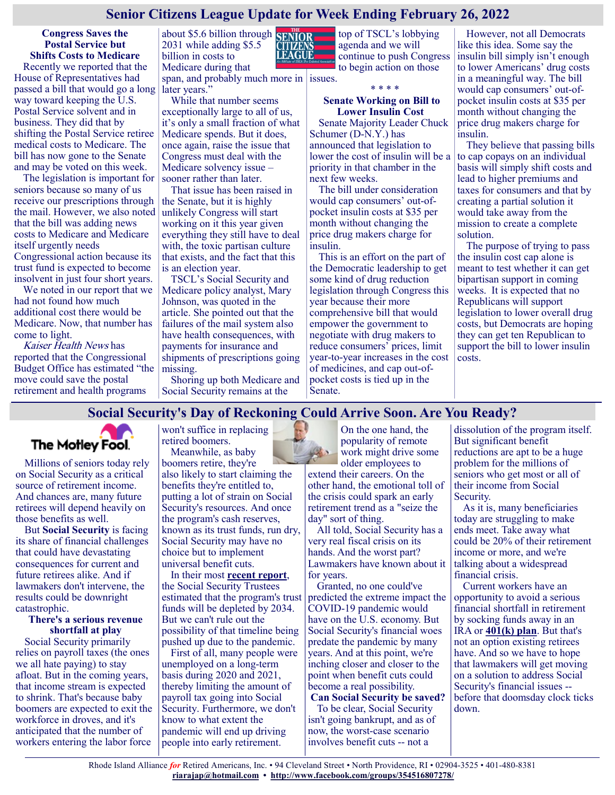## **Senior Citizens League Update for Week Ending February 26, 2022**

**Congress Saves the Postal Service but Shifts Costs to Medicare** Recently we reported that the House of Representatives had passed a bill that would go a long

way toward keeping the U.S. Postal Service solvent and in business. They did that by shifting the Postal Service retiree medical costs to Medicare. The bill has now gone to the Senate and may be voted on this week.

The legislation is important for seniors because so many of us receive our prescriptions through the mail. However, we also noted that the bill was adding news costs to Medicare and Medicare itself urgently needs Congressional action because its trust fund is expected to become insolvent in just four short years.

We noted in our report that we had not found how much additional cost there would be Medicare. Now, that number has come to light.

Kaiser Health News has reported that the Congressional Budget Office has estimated "the move could save the postal retirement and health programs

about \$5.6 billion through 2031 while adding \$5.5 billion in costs to Medicare during that span, and probably much more in issues.

later years." While that number seems exceptionally large to all of us, it's only a small fraction of what Medicare spends. But it does, once again, raise the issue that Congress must deal with the

Medicare solvency issue – sooner rather than later. That issue has been raised in the Senate, but it is highly unlikely Congress will start working on it this year given

everything they still have to deal with, the toxic partisan culture that exists, and the fact that this is an election year.

TSCL's Social Security and Medicare policy analyst, Mary Johnson, was quoted in the article. She pointed out that the failures of the mail system also have health consequences, with payments for insurance and shipments of prescriptions going missing.

Shoring up both Medicare and Social Security remains at the



top of TSCL's lobbying agenda and we will continue to push Congress to begin action on those

\* \* \* \*

#### **Senate Working on Bill to Lower Insulin Cost**

Senate Majority Leader Chuck Schumer (D-N.Y.) has announced that legislation to lower the cost of insulin will be a priority in that chamber in the next few weeks.

The bill under consideration would cap consumers' out-ofpocket insulin costs at \$35 per month without changing the price drug makers charge for insulin.

This is an effort on the part of the Democratic leadership to get some kind of drug reduction legislation through Congress this year because their more comprehensive bill that would empower the government to negotiate with drug makers to reduce consumers' prices, limit year-to-year increases in the cost of medicines, and cap out-ofpocket costs is tied up in the Senate.

However, not all Democrats like this idea. Some say the insulin bill simply isn't enough to lower Americans' drug costs in a meaningful way. The bill would cap consumers' out-ofpocket insulin costs at \$35 per month without changing the price drug makers charge for insulin.

They believe that passing bills to cap copays on an individual basis will simply shift costs and lead to higher premiums and taxes for consumers and that by creating a partial solution it would take away from the mission to create a complete solution.

The purpose of trying to pass the insulin cost cap alone is meant to test whether it can get bipartisan support in coming weeks. It is expected that no Republicans will support legislation to lower overall drug costs, but Democrats are hoping they can get ten Republican to support the bill to lower insulin costs.

## **Social Security's Day of Reckoning Could Arrive Soon. Are You Ready?**



Millions of seniors today rely on Social Security as a critical source of retirement income. And chances are, many future retirees will depend heavily on those benefits as well.

But **[Social Security](https://www.fool.com/retirement/social-security/?utm_source=msnrss&utm_medium=feed&utm_campaign=article&referring_guid=35fc0c16-2a63-4fbe-8b54-f5fb7e9f78f0)** is facing its share of financial challenges that could have devastating consequences for current and future retirees alike. And if lawmakers don't intervene, the results could be downright catastrophic.

#### **There's a serious revenue shortfall at play**

Social Security primarily relies on payroll taxes (the ones we all hate paying) to stay afloat. But in the coming years, that income stream is expected to shrink. That's because baby boomers are expected to exit the workforce in droves, and it's anticipated that the number of workers entering the labor force

won't suffice in replacing retired boomers. Meanwhile, as baby

boomers retire, they're also likely to start claiming the benefits they're entitled to, putting a lot of strain on Social Security's resources. And once the program's cash reserves, known as its trust funds, run dry, Social Security may have no choice but to implement universal benefit cuts.

In their most **[recent report](https://www.ssa.gov/oact/TR/2021/tr2021.pdf)**, the Social Security Trustees estimated that the program's trust funds will be depleted by 2034. But we can't rule out the possibility of that timeline being pushed up due to the pandemic.

First of all, many people were unemployed on a long-term basis during 2020 and 2021, thereby limiting the amount of payroll tax going into Social Security. Furthermore, we don't know to what extent the pandemic will end up driving people into early retirement.

On the one hand, the popularity of remote work might drive some older employees to

extend their careers. On the other hand, the emotional toll of the crisis could spark an early retirement trend as a "seize the day" sort of thing.

All told, Social Security has a very real fiscal crisis on its hands. And the worst part? Lawmakers have known about it for years.

Granted, no one could've predicted the extreme impact the COVID-19 pandemic would have on the U.S. economy. But Social Security's financial woes predate the pandemic by many years. And at this point, we're inching closer and closer to the point when benefit cuts could become a real possibility.

**Can Social Security be saved?** To be clear, Social Security isn't going bankrupt, and as of now, the worst-case scenario involves benefit cuts -- not a

dissolution of the program itself. But significant benefit reductions are apt to be a huge problem for the millions of seniors who get most or all of their income from Social Security.

As it is, many beneficiaries today are struggling to make ends meet. Take away what could be 20% of their retirement income or more, and we're talking about a widespread financial crisis.

Current workers have an opportunity to avoid a serious financial shortfall in retirement by socking funds away in an IRA or **[401\(k\) plan](https://www.fool.com/retirement/2022/02/13/should-you-invest-your-401k-in-a-target-date-fund/?utm_source=msnrss&utm_medium=feed&utm_campaign=article&referring_guid=35fc0c16-2a63-4fbe-8b54-f5fb7e9f78f0)**. But that's not an option existing retirees have. And so we have to hope that lawmakers will get moving on a solution to address Social Security's financial issues - before that doomsday clock ticks down.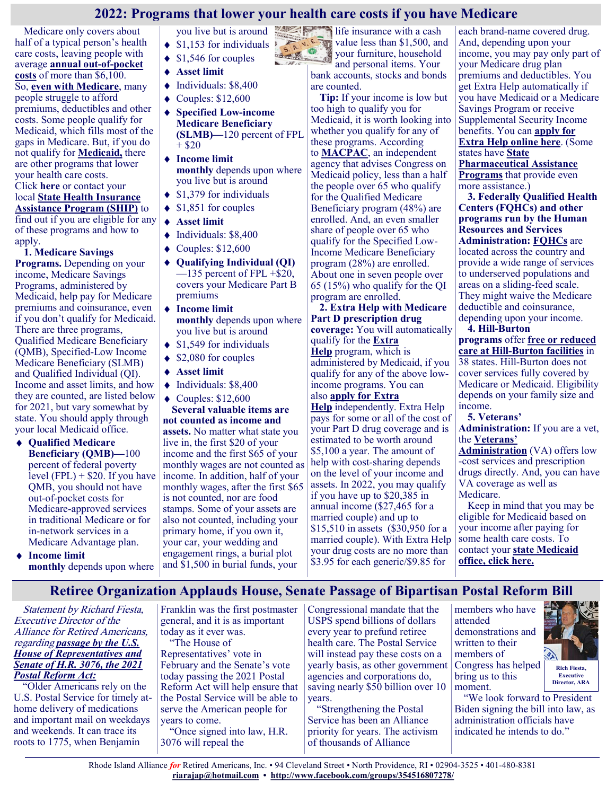## **2022: Programs that lower your health care costs if you have Medicare**

Medicare only covers about half of a typical person's health care costs, leaving people with average **[annual out](https://justcareusa.org/2022-medicare-out-of-pocket-costs/)-of-pocket [costs](https://justcareusa.org/2022-medicare-out-of-pocket-costs/)** of more than \$6,100. So, **[even with Medicare](https://justcareusa.org/medicare-costs-high/)**, many people struggle to afford premiums, deductibles and other costs. Some people qualify for Medicaid, which fills most of the gaps in Medicare. But, if you do not qualify for **[Medicaid,](https://justcareusa.org/medicaid-why-it-matters-to-all-of-us/)** there are other programs that lower your health care costs. Click **[here](https://www.medicare.gov/talk-to-someone)** or contact your local **[State Health Insurance](https://www.shiptacenter.org/)  [Assistance Program \(SHIP\)](https://www.shiptacenter.org/)** to find out if you are eligible for any of these programs and how to

apply. **1. Medicare Savings Programs.** Depending on your income, Medicare Savings Programs, administered by Medicaid, help pay for Medicare premiums and coinsurance, even if you don't qualify for Medicaid. There are three programs, Qualified Medicare Beneficiary (QMB), Specified-Low Income Medicare Beneficiary (SLMB) and Qualified Individual (QI). Income and asset limits, and how they are counted, are listed below for 2021, but vary somewhat by state. You should apply through your local Medicaid office.

- $\bullet$ **Qualified Medicare Beneficiary (QMB)—**100 percent of federal poverty level  $(FPL)$  + \$20. If you have QMB, you should not have out-of-pocket costs for Medicare-approved services in traditional Medicare or for in-network services in a Medicare Advantage plan.
- **Income limit monthly** depends upon where

you live but is around  $\triangleleft$  \$1,153 for individuals

- \$1,546 for couples
- **Asset limit**
- Individuals: \$8,400
- $\blacklozenge$  Couples: \$12,600
- $\blacklozenge$ **Specified Low-income Medicare Beneficiary (SLMB)—**120 percent of FPL  $+$  \$20
- **Income limit monthly** depends upon where you live but is around
- $\triangleleft$  \$1,379 for individuals
- $\triangleleft$  \$1,851 for couples
- **Asset limit**
- $\blacklozenge$  Individuals: \$8,400
- $\triangleleft$  Couples: \$12,600
- **Qualifying Individual (QI)**  $-135$  percent of FPL  $+$ \$20, covers your Medicare Part B premiums
- **Income limit monthly** depends upon where you live but is around
- $\bullet$  \$1,549 for individuals
- \$2,080 for couples
- **Asset limit**
- $\blacklozenge$  Individuals: \$8,400
- $\blacklozenge$  Couples: \$12,600

**Several valuable items are not counted as income and assets.** No matter what state you live in, the first \$20 of your income and the first \$65 of your monthly wages are not counted as income. In addition, half of your monthly wages, after the first \$65 is not counted, nor are food stamps. Some of your assets are also not counted, including your primary home, if you own it, your car, your wedding and engagement rings, a burial plot and \$1,500 in burial funds, your

life insurance with a cash value less than \$1,500, and S. M. your furniture, household and personal items. Your

bank accounts, stocks and bonds are counted.

**Tip:** If your income is low but too high to qualify you for Medicaid, it is worth looking into whether you qualify for any of these programs. According to **[MACPAC](file:///C:/Users/teamj/OneDrive/Documents/My Data Sources)**, an independent agency that advises Congress on Medicaid policy, less than a half the people over 65 who qualify for the Qualified Medicare Beneficiary program (48%) are enrolled. And, an even smaller share of people over 65 who qualify for the Specified Low-Income Medicare Beneficiary program (28%) are enrolled. About one in seven people over 65 (15%) who qualify for the QI program are enrolled.

**2. Extra Help with Medicare Part D prescription drug coverage:** You will automatically qualify for the **[Extra](https://www.ssa.gov/pubs/EN-05-10508.pdf)  [Help](https://www.ssa.gov/pubs/EN-05-10508.pdf)** program, which is administered by Medicaid, if you qualify for any of the above lowincome programs. You can also **[apply for Extra](https://www.ssa.gov/benefits/medicare/prescriptionhelp.html)  [Help](https://www.ssa.gov/benefits/medicare/prescriptionhelp.html)** independently. Extra Help pays for some or all of the cost of

your Part D drug coverage and is estimated to be worth around \$5,100 a year. The amount of help with cost-sharing depends on the level of your income and assets. In 2022, you may qualify if you have up to \$20,385 in annual income (\$27,465 for a married couple) and up to \$15,510 in assets (\$30,950 for a married couple). With Extra Help your drug costs are no more than \$3.95 for each generic/\$9.85 for

each brand-name covered drug. And, depending upon your income, you may pay only part of your Medicare drug plan premiums and deductibles. You get Extra Help automatically if you have Medicaid or a Medicare Savings Program or receive Supplemental Security Income benefits. You can **[apply for](https://secure.ssa.gov/i1020/start)  [Extra Help online here](https://secure.ssa.gov/i1020/start)**. (Some states have **[State](https://www.medicare.gov/pharmaceutical-assistance-program/state-programs.aspx)  [Pharmaceutical Assistance](https://www.medicare.gov/pharmaceutical-assistance-program/state-programs.aspx)  [Programs](https://www.medicare.gov/pharmaceutical-assistance-program/state-programs.aspx)** that provide even more assistance.)

**3. Federally Qualified Health Centers (FQHCs) and other programs run by the Human Resources and Services Administration: [FQHCs](https://findahealthcenter.hrsa.gov/)** are located across the country and provide a wide range of services to underserved populations and areas on a sliding-feed scale. They might waive the Medicare deductible and coinsurance, depending upon your income.

**4. Hill-Burton programs** offer **[free or reduced](https://www.hrsa.gov/gethealthcare/affordable/hillburton/facilities.html)  care at Hill-[Burton facilities](https://www.hrsa.gov/gethealthcare/affordable/hillburton/facilities.html)** in 38 states. Hill-Burton does not cover services fully covered by Medicare or Medicaid. Eligibility depends on your family size and income.

**5. Veterans' Administration:** If you are a vet, the **[Veterans'](https://justcareusa.org/medicare-and-veterans-benefits-vets-can-have-both/)** 

**[Administration](https://justcareusa.org/medicare-and-veterans-benefits-vets-can-have-both/)** (VA) offers low -cost services and prescription drugs directly. And, you can have VA coverage as well as Medicare.

Keep in mind that you may be eligible for Medicaid based on your income after paying for some health care costs. To contact your **[state Medicaid](https://www.medicaid.gov/about-us/contact-us/contact-state-page.html)  [office, click here.](https://www.medicaid.gov/about-us/contact-us/contact-state-page.html)**

## **Retiree Organization Applauds House, Senate Passage of Bipartisan Postal Reform Bill**

Statement by Richard Fiesta, Executive Director of the Alliance for Retired Americans, regarding *[passage by the U.S.](http://link.mediaoutreach.meltwater.com/ls/click?upn=qxxqyjyNsp8Ympkvvroysmjrz0mFG-2FGLbzAzjVUU8LbhdB9EPTUeCnc9jEuRcF-2BTn-2FzGRaDbml-2BnoiY0UQamGJEx3LgVXG6wh0181irAikcCsCvG-2FD1XHN0X-2BWXbaYUR9faBmGB-2F9c-2FtFq36hz-2FXtNZ8EFixHgxMj2oz92Hwz8P-2FlB2-2FMygeN85N)  [House of Representatives and](http://link.mediaoutreach.meltwater.com/ls/click?upn=qxxqyjyNsp8Ympkvvroysmjrz0mFG-2FGLbzAzjVUU8LbhdB9EPTUeCnc9jEuRcF-2BTn-2FzGRaDbml-2BnoiY0UQamGJEx3LgVXG6wh0181irAikcCsCvG-2FD1XHN0X-2BWXbaYUR9faBmGB-2F9c-2FtFq36hz-2FXtNZ8EFixHgxMj2oz92Hwz8P-2FlB2-2FMygeN85N)  [Senate of H.R. 3076, the 2021](http://link.mediaoutreach.meltwater.com/ls/click?upn=qxxqyjyNsp8Ympkvvroysmjrz0mFG-2FGLbzAzjVUU8LbhdB9EPTUeCnc9jEuRcF-2BTn-2FzGRaDbml-2BnoiY0UQamGJEx3LgVXG6wh0181irAikcCsCvG-2FD1XHN0X-2BWXbaYUR9faBmGB-2F9c-2FtFq36hz-2FXtNZ8EFixHgxMj2oz92Hwz8P-2FlB2-2FMygeN85N)  [Postal Reform Act:](http://link.mediaoutreach.meltwater.com/ls/click?upn=qxxqyjyNsp8Ympkvvroysmjrz0mFG-2FGLbzAzjVUU8LbhdB9EPTUeCnc9jEuRcF-2BTn-2FzGRaDbml-2BnoiY0UQamGJEx3LgVXG6wh0181irAikcCsCvG-2FD1XHN0X-2BWXbaYUR9faBmGB-2F9c-2FtFq36hz-2FXtNZ8EFixHgxMj2oz92Hwz8P-2FlB2-2FMygeN85N)*

"Older Americans rely on the U.S. Postal Service for timely athome delivery of medications and important mail on weekdays and weekends. It can trace its roots to 1775, when Benjamin

Franklin was the first postmaster general, and it is as important today as it ever was.

"The House of Representatives' vote in February and the Senate's vote today passing the 2021 Postal Reform Act will help ensure that the Postal Service will be able to serve the American people for years to come. "Once signed into law, H.R.

3076 will repeal the

Congressional mandate that the USPS spend billions of dollars every year to prefund retiree health care. The Postal Service will instead pay these costs on a yearly basis, as other government agencies and corporations do, saving nearly \$50 billion over 10 years.

"Strengthening the Postal Service has been an Alliance priority for years. The activism of thousands of Alliance

members who have attended demonstrations and written to their members of Congress has helped bring us to this moment.



"We look forward to President Biden signing the bill into law, as administration officials have indicated he intends to do."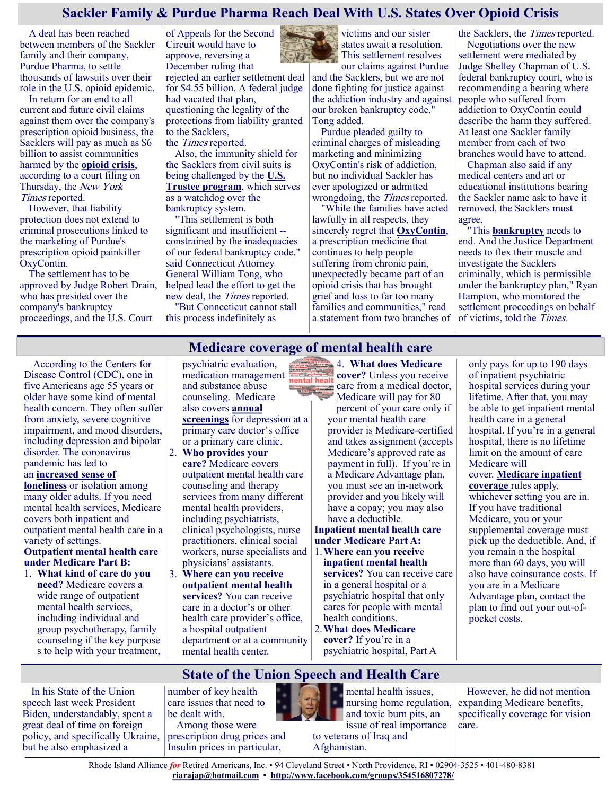## **Sackler Family & Purdue Pharma Reach Deal With U.S. States Over Opioid Crisis**

A deal has been reached between members of the Sackler family and their company, Purdue Pharma, to settle thousands of lawsuits over their role in the U.S. opioid epidemic.

In return for an end to all current and future civil claims against them over the company's prescription opioid business, the Sacklers will pay as much as \$6 billion to assist communities harmed by the **[opioid crisis](https://www.hhs.gov/opioids/about-the-epidemic/index.html)**, according to a court filing on Thursday, the New York Times reported.

However, that liability protection does not extend to criminal prosecutions linked to the marketing of Purdue's prescription opioid painkiller OxyContin.

The settlement has to be approved by Judge Robert Drain, who has presided over the company's bankruptcy proceedings, and the U.S. Court

of Appeals for the Second Circuit would have to approve, reversing a December ruling that rejected an earlier settlement deal for \$4.55 billion. A federal judge had vacated that plan, questioning the legality of the protections from liability granted to the Sacklers, the Times reported.

Also, the immunity shield for the Sacklers from civil suits is being challenged by the **[U.S.](https://www.justice.gov/ust)  [Trustee program](https://www.justice.gov/ust)**, which serves as a watchdog over the bankruptcy system.

"This settlement is both significant and insufficient - constrained by the inadequacies of our federal bankruptcy code," said Connecticut Attorney General William Tong, who helped lead the effort to get the new deal, the Times reported.

"But Connecticut cannot stall this process indefinitely as

victims and our sister states await a resolution. This settlement resolves

our claims against Purdue and the Sacklers, but we are not done fighting for justice against the addiction industry and against our broken bankruptcy code," Tong added.

Purdue pleaded guilty to criminal charges of misleading marketing and minimizing OxyContin's risk of addiction, but no individual Sackler has ever apologized or admitted wrongdoing, the Times reported.

"While the families have acted lawfully in all respects, they sincerely regret that **[OxyContin](https://medlineplus.gov/druginfo/meds/a682132.html)**, a prescription medicine that continues to help people suffering from chronic pain, unexpectedly became part of an opioid crisis that has brought grief and loss to far too many families and communities," read a statement from two branches of

the Sacklers, the Times reported. Negotiations over the new settlement were mediated by Judge Shelley Chapman of U.S. federal bankruptcy court, who is recommending a hearing where people who suffered from addiction to OxyContin could describe the harm they suffered. At least one Sackler family member from each of two branches would have to attend.

Chapman also said if any medical centers and art or educational institutions bearing the Sackler name ask to have it removed, the Sacklers must agree.

"This **[bankruptcy](https://www.uscourts.gov/services-forms/bankruptcy)** needs to end. And the Justice Department needs to flex their muscle and investigate the Sacklers criminally, which is permissible under the bankruptcy plan," Ryan Hampton, who monitored the settlement proceedings on behalf of victims, told the Times.

## **Medicare coverage of mental health care**

According to the Centers for Disease Control (CDC), one in five Americans age 55 years or older have some kind of mental health concern. They often suffer from anxiety, severe cognitive impairment, and mood disorders, including depression and bipolar disorder. The coronavirus pandemic has led to an **[increased sense of](https://news.ehealthinsurance.com/_ir/68/20221/Seniors_Speak_Out_On_Mental_Health_Feb2022.pdf)** 

#### **[loneliness](https://news.ehealthinsurance.com/_ir/68/20221/Seniors_Speak_Out_On_Mental_Health_Feb2022.pdf)** or isolation among many older adults. If you need mental health services, Medicare covers both inpatient and outpatient mental health care in a variety of settings.

#### **Outpatient mental health care under Medicare Part B:**

1. **What kind of care do you need?** Medicare covers a wide range of outpatient mental health services, including individual and group psychotherapy, family counseling if the key purpose s to help with your treatment, psychiatric evaluation, medication management and substance abuse counseling. Medicare also covers **[annual](https://justcareusa.org/take-advantage-of-medicares-annual-wellness-visit/)  [screenings](https://justcareusa.org/take-advantage-of-medicares-annual-wellness-visit/)** for depression at a primary care doctor's office or a primary care clinic.

- 2. **Who provides your care?** Medicare covers outpatient mental health care counseling and therapy services from many different mental health providers, including psychiatrists, clinical psychologists, nurse practitioners, clinical social workers, nurse specialists and physicians' assistants.
- 3. **Where can you receive outpatient mental health services?** You can receive care in a doctor's or other health care provider's office, a hospital outpatient department or at a community mental health center.

4. **What does Medicare cover?** Unless you receive **The Accepted Accepted Accepted Accept** care from a medical doctor, Medicare will pay for 80

> percent of your care only if your mental health care provider is Medicare-certified and takes assignment (accepts Medicare's approved rate as payment in full). If you're in a Medicare Advantage plan, you must see an in-network provider and you likely will have a copay; you may also have a deductible.

**Inpatient mental health care under Medicare Part A:** 1.**Where can you receive** 

**inpatient mental health services?** You can receive care in a general hospital or a psychiatric hospital that only cares for people with mental health conditions. 2.**What does Medicare** 

**cover?** If you're in a psychiatric hospital, Part A

only pays for up to 190 days of inpatient psychiatric hospital services during your lifetime. After that, you may be able to get inpatient mental health care in a general hospital. If you're in a general hospital, there is no lifetime limit on the amount of care Medicare will cover. **[Medicare inpatient](https://justcareusa.org/what-to-know-about-medicare-inpatient-hospital-care/)  [coverage](https://justcareusa.org/what-to-know-about-medicare-inpatient-hospital-care/)** rules apply, whichever setting you are in. If you have traditional Medicare, you or your supplemental coverage must pick up the deductible. And, if you remain n the hospital more than 60 days, you will also have coinsurance costs. If you are in a Medicare Advantage plan, contact the plan to find out your out-ofpocket costs.

# **State of the Union Speech and Health Care**

In his State of the Union speech last week President Biden, understandably, spent a great deal of time on foreign policy, and specifically Ukraine, but he also emphasized a

number of key health care issues that need to be dealt with.

Among those were prescription drug prices and Insulin prices in particular,



mental health issues, nursing home regulation, and toxic burn pits, an issue of real importance

to veterans of Iraq and Afghanistan.

However, he did not mention expanding Medicare benefits, specifically coverage for vision care.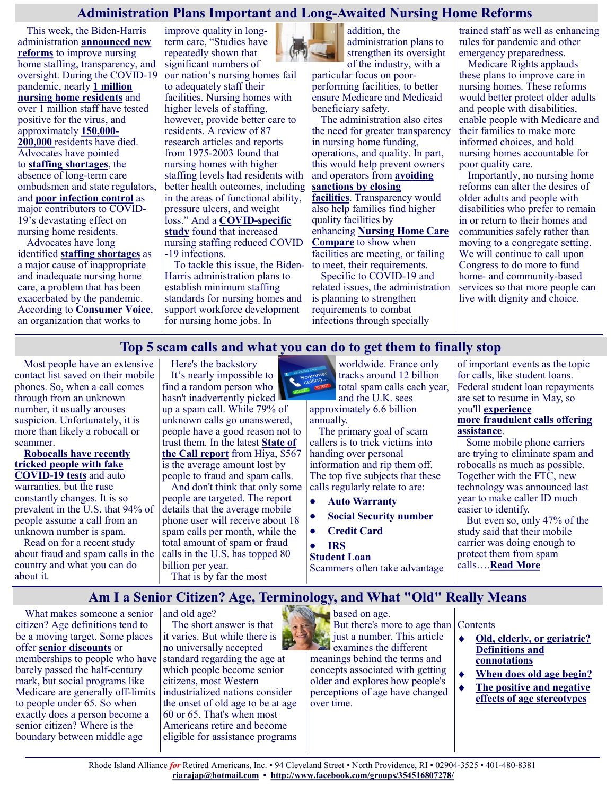## **Administration Plans Important and Long-Awaited Nursing Home Reforms**

This week, the Biden-Harris administration **[announced new](https://www.whitehouse.gov/briefing-room/statements-releases/2022/02/28/fact-sheet-protecting-seniors-and-people-with-disabilities-by-improving-safety-and-quality-of-care-in-the-nations-nursing-homes/)  [reforms](https://www.whitehouse.gov/briefing-room/statements-releases/2022/02/28/fact-sheet-protecting-seniors-and-people-with-disabilities-by-improving-safety-and-quality-of-care-in-the-nations-nursing-homes/)** to improve nursing home staffing, transparency, and oversight. During the COVID-19 pandemic, nearly **[1 million](https://data.cms.gov/covid-19/covid-19-nursing-home-data)  [nursing home residents](https://data.cms.gov/covid-19/covid-19-nursing-home-data)** and over 1 million staff have tested positive for the virus, and approximately **[150,000](https://www.kff.org/policy-watch/over-200000-residents-and-staff-in-long-term-care-facilities-have-died-from-covid-19/)- [200,000](https://www.kff.org/policy-watch/over-200000-residents-and-staff-in-long-term-care-facilities-have-died-from-covid-19/)** residents have died. Advocates have pointed to **[staffing shortages](https://theconsumervoice.org/uploads/files/issues/suffering-in-lockdown.pdf)**, the absence of long-term care ombudsmen and state regulators, and **[poor infection control](https://justiceinaging.org/wp-content/uploads/2020/09/Comments-on-NH-Revision.pdf)** as major contributors to COVID-19's devastating effect on nursing home residents.

Advocates have long identified **[staffing shortages](https://medicareadvocacy.org/2022-proposed-snf-reforms/)** as a major cause of inappropriate and inadequate nursing home care, a problem that has been exacerbated by the pandemic. According to **[Consumer Voice](https://theconsumervoice.org/uploads/files/issues/suffering-in-lockdown.pdf)**, an organization that works to

improve quality in longterm care, "Studies have repeatedly shown that significant numbers of our nation's nursing homes fail to adequately staff their facilities. Nursing homes with higher levels of staffing, however, provide better care to residents. A review of 87 research articles and reports from 1975-2003 found that nursing homes with higher staffing levels had residents with better health outcomes, including in the areas of functional ability, pressure ulcers, and weight loss." And a **COVID-[specific](https://agsjournals.onlinelibrary.wiley.com/doi/epdf/10.1111/jgs.16689)  [study](https://agsjournals.onlinelibrary.wiley.com/doi/epdf/10.1111/jgs.16689)** found that increased nursing staffing reduced COVID -19 infections.

To tackle this issue, the Biden-Harris administration plans to establish minimum staffing standards for nursing homes and support workforce development for nursing home jobs. In



addition, the administration plans to strengthen its oversight of the industry, with a

particular focus on poorperforming facilities, to better ensure Medicare and Medicaid beneficiary safety.

The administration also cites the need for greater transparency in nursing home funding, operations, and quality. In part, this would help prevent owners and operators from **[avoiding](https://www.whitehouse.gov/briefing-room/statements-releases/2022/02/28/fact-sheet-protecting-seniors-and-people-with-disabilities-by-improving-safety-and-quality-of-care-in-the-nations-nursing-homes/)  [sanctions by closing](https://www.whitehouse.gov/briefing-room/statements-releases/2022/02/28/fact-sheet-protecting-seniors-and-people-with-disabilities-by-improving-safety-and-quality-of-care-in-the-nations-nursing-homes/)  [facilities](https://www.whitehouse.gov/briefing-room/statements-releases/2022/02/28/fact-sheet-protecting-seniors-and-people-with-disabilities-by-improving-safety-and-quality-of-care-in-the-nations-nursing-homes/)**. Transparency would also help families find higher quality facilities by enhancing **[Nursing Home Care](https://www.medicare.gov/care-compare/?guidedSearch=NursingHome)  [Compare](https://www.medicare.gov/care-compare/?guidedSearch=NursingHome)** to show when facilities are meeting, or failing to meet, their requirements. Specific to COVID-19 and

related issues, the administration is planning to strengthen requirements to combat infections through specially

trained staff as well as enhancing rules for pandemic and other emergency preparedness.

Medicare Rights applauds these plans to improve care in nursing homes. These reforms would better protect older adults and people with disabilities, enable people with Medicare and their families to make more informed choices, and hold nursing homes accountable for poor quality care.

Importantly, no nursing home reforms can alter the desires of older adults and people with disabilities who prefer to remain in or return to their homes and communities safely rather than moving to a congregate setting. We will continue to call upon Congress to do more to fund home- and community-based services so that more people can live with dignity and choice.

## **Top 5 scam calls and what you can do to get them to finally stop**

Most people have an extensive contact list saved on their mobile phones. So, when a call comes through from an unknown number, it usually arouses suspicion. Unfortunately, it is more than likely a robocall or scammer.

**[Robocalls have recently](https://www.komando.com/security-privacy/robocall-covid-19-test-scams/821037/)  [tricked people with fake](https://www.komando.com/security-privacy/robocall-covid-19-test-scams/821037/)  [COVID](https://www.komando.com/security-privacy/robocall-covid-19-test-scams/821037/)-19 tests** and auto warranties, but the ruse constantly changes. It is so prevalent in the U.S. that 94% of people assume a call from an unknown number is spam.

Read on for a recent study about fraud and spam calls in the country and what you can do about it.

citizen? Age definitions tend to be a moving target. Some places offer **[senior discounts](https://www.greatseniorliving.com/articles/seniors-discounts)** or memberships to people who have barely passed the half-century mark, but social programs like Medicare are generally off-limits to people under 65. So when exactly does a person become a senior citizen? Where is the boundary between middle age

Here's the backstory It's nearly impossible to find a random person who hasn't inadvertently picked up a spam call. While 79% of unknown calls go unanswered, people have a good reason not to trust them. In the latest **[State of](https://www.hiya.com/state-of-the-call)  [the Call report](https://www.hiya.com/state-of-the-call)** from Hiya, \$567 is the average amount lost by

people to fraud and spam calls. And don't think that only some people are targeted. The report details that the average mobile phone user will receive about 18 spam calls per month, while the total amount of spam or fraud calls in the U.S. has topped 80 billion per year.

That is by far the most

worldwide. France only tracks around 12 billion total spam calls each year,

and the U.K. sees approximately 6.6 billion annually.

The primary goal of scam callers is to trick victims into handing over personal information and rip them off. The top five subjects that these calls regularly relate to are:

- $\bullet$ **Auto Warranty**
- **Social Security number**
- **Credit Card**

#### **IRS**

**Student Loan**

Scammers often take advantage

of important events as the topic for calls, like student loans. Federal student loan repayments are set to resume in May, so you'll **[experience](https://www.komando.com/security-privacy/viral-student-loan-scams/827805/)  [more](https://www.komando.com/security-privacy/viral-student-loan-scams/827805/) [fraudulent](https://www.komando.com/security-privacy/viral-student-loan-scams/827805/) calls offering [assistance](https://www.komando.com/security-privacy/viral-student-loan-scams/827805/)**.

Some mobile phone carriers are trying to eliminate spam and robocalls as much as possible. Together with the FTC, new technology was announced last year to make caller ID much easier to identify.

But even so, only 47% of the study said that their mobile carrier was doing enough to protect them from spam calls….**[Read More](https://www.msn.com/en-us/money/other/top-5-scam-calls-and-what-you-can-do-to-get-them-to-finally-stop/ar-AAUFnZv?ocid=SK2DDHP)**

## **Am I a Senior Citizen? Age, Terminology, and What "Old" Really Means**

What makes someone a senior and old age?

The short answer is that it varies. But while there is no universally accepted standard regarding the age at which people become senior citizens, most Western industrialized nations consider the onset of old age to be at age 60 or 65. That's when most Americans retire and become eligible for assistance programs

based on age. But there's more to age than Contents just a number. This article examines the different meanings behind the terms and concepts associated with getting older and explores how people's perceptions of age have changed over time.

- $\bullet$ **[Old, elderly, or geriatric?](https://www.greatseniorliving.com/articles/senior-citizen-age#definitions-connotations)  [Definitions and](https://www.greatseniorliving.com/articles/senior-citizen-age#definitions-connotations)  [connotations](https://www.greatseniorliving.com/articles/senior-citizen-age#definitions-connotations)**
- $\blacklozenge$ **[When does old age begin?](https://www.greatseniorliving.com/articles/senior-citizen-age#when-does-old-age)**
- **[The positive and negative](https://www.greatseniorliving.com/articles/senior-citizen-age#positive-and-negative)  [effects of age stereotypes](https://www.greatseniorliving.com/articles/senior-citizen-age#positive-and-negative)**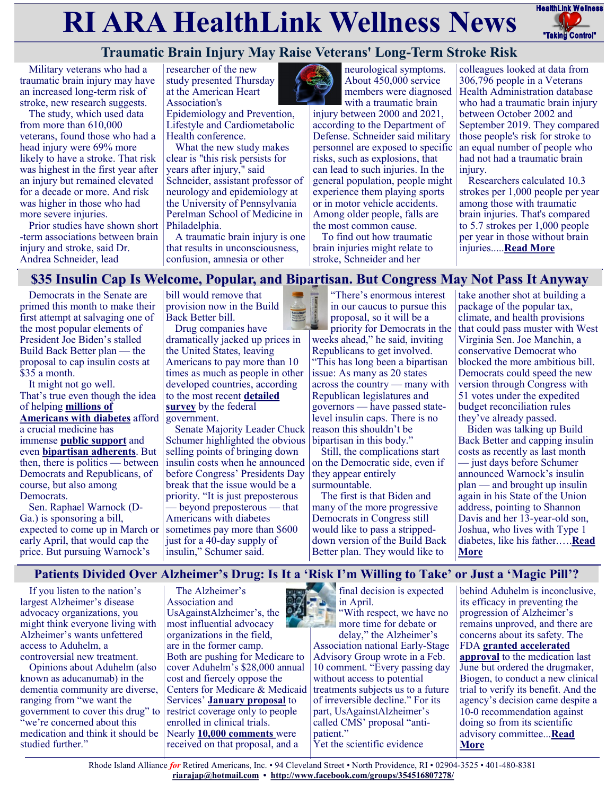# **RI ARA HealthLink Wellness News** FreathLink Wellness



# **Traumatic Brain Injury May Raise Veterans' Long-Term Stroke Risk**

Military veterans who had a traumatic brain injury may have an increased long-term risk of stroke, new research suggests.

The study, which used data from more than 610,000 veterans, found those who had a head injury were 69% more likely to have a stroke. That risk was highest in the first year after an injury but remained elevated for a decade or more. And risk was higher in those who had more severe injuries.

Prior studies have shown short -term associations between brain injury and stroke, said Dr. Andrea Schneider, lead

researcher of the new study presented Thursday at the American Heart Association's

Epidemiology and Prevention, Lifestyle and Cardiometabolic Health conference.

What the new study makes clear is "this risk persists for years after injury," said Schneider, assistant professor of neurology and epidemiology at the University of Pennsylvania Perelman School of Medicine in Philadelphia.

A traumatic brain injury is one that results in unconsciousness, confusion, amnesia or other



neurological symptoms. About 450,000 service members were diagnosed with a traumatic brain

injury between 2000 and 2021, according to the Department of Defense. Schneider said military personnel are exposed to specific risks, such as explosions, that can lead to such injuries. In the general population, people might experience them playing sports or in motor vehicle accidents. Among older people, falls are the most common cause.

To find out how traumatic brain injuries might relate to stroke, Schneider and her

colleagues looked at data from 306,796 people in a Veterans Health Administration database who had a traumatic brain injury between October 2002 and September 2019. They compared those people's risk for stroke to an equal number of people who had not had a traumatic brain injury.

Researchers calculated 10.3 strokes per 1,000 people per year among those with traumatic brain injuries. That's compared to 5.7 strokes per 1,000 people per year in those without brain injuries.....**[Read More](https://consumer.healthday.com/aha-news-traumatic-brain-injury-may-raise-veterans-long-term-stroke-risk-2656834187.html)**

## **\$35 Insulin Cap Is Welcome, Popular, and Bipartisan. But Congress May Not Pass It Anyway**

Democrats in the Senate are primed this month to make their first attempt at salvaging one of the most popular elements of President Joe Biden's stalled Build Back Better plan — the proposal to cap insulin costs at \$35 a month.

It might not go well. That's true even though the idea of helping **[millions of](https://www.cdc.gov/diabetes/library/features/diabetes-stat-report.html)  [Americans with diabetes](https://www.cdc.gov/diabetes/library/features/diabetes-stat-report.html)** afford a crucial medicine has immense **[public support](https://www.filesforprogress.org/datasets/2021/11/dfp_capping_insulin_costs.pdf)** and even **[bipartisan adherents](https://www.kennedy.senate.gov/public/2021/4/kennedy-fights-to-lower-insulin-prices-for-all-louisianians)**. But then, there is politics — between Democrats and Republicans, of course, but also among Democrats.

Sen. Raphael Warnock (D-Ga.) is sponsoring a bill, expected to come up in March or early April, that would cap the price. But pursuing Warnock's

bill would remove that provision now in the Build Back Better bill.

Drug companies have dramatically jacked up prices in the United States, leaving Americans to pay more than 10 times as much as people in other developed countries, according to the most recent **[detailed](https://aspe.hhs.gov/reports/comparing-insulin-prices-us-other-countries)  [survey](https://aspe.hhs.gov/reports/comparing-insulin-prices-us-other-countries)** by the federal government.

Senate Majority Leader Chuck Schumer highlighted the obvious selling points of bringing down insulin costs when he announced before Congress' Presidents Day break that the issue would be a priority. "It is just preposterous — beyond preposterous — that Americans with diabetes sometimes pay more than \$600 just for a 40-day supply of insulin," Schumer said.

"There's enormous interest in our caucus to pursue this proposal, so it will be a priority for Democrats in the weeks ahead," he said, inviting Republicans to get involved. "This has long been a bipartisan issue: As many as 20 states across the country — many with Republican legislatures and governors — have passed statelevel insulin caps. There is no reason this shouldn't be bipartisan in this body.'

Still, the complications start on the Democratic side, even if they appear entirely surmountable.

The first is that Biden and many of the more progressive Democrats in Congress still would like to pass a strippeddown version of the Build Back Better plan. They would like to

take another shot at building a package of the popular tax, climate, and health provisions that could pass muster with West Virginia Sen. Joe Manchin, a conservative Democrat who blocked the more ambitious bill. Democrats could speed the new version through Congress with 51 votes under the expedited budget reconciliation rules they've already passed.

Biden was talking up Build Back Better and capping insulin costs as recently as last month — just days before Schumer announced Warnock's insulin plan — and brought up insulin again in his State of the Union address, pointing to Shannon Davis and her 13-year-old son, Joshua, who lives with Type 1 diabetes, like his father.….**[Read](https://khn.org/news/article/raphael-warnock-insulin-35-dollar-cap-legislation-biden/)  [More](https://khn.org/news/article/raphael-warnock-insulin-35-dollar-cap-legislation-biden/)**

## **Patients Divided Over Alzheimer's Drug: Is It a 'Risk I'm Willing to Take' or Just a 'Magic Pill'?**

If you listen to the nation's largest Alzheimer's disease advocacy organizations, you might think everyone living with Alzheimer's wants unfettered access to Aduhelm, a controversial new treatment.

Opinions about Aduhelm (also known as aducanumab) in the dementia community are diverse, ranging from "we want the government to cover this drug" to "we're concerned about this medication and think it should be studied further."

The Alzheimer's Association and UsAgainstAlzheimer's, the most influential advocacy organizations in the field, are in the former camp. Both are pushing for Medicare to cover Aduhelm's \$28,000 annual cost and fiercely oppose the Centers for Medicare & Medicaid Services' **[January proposal](https://www.cms.gov/newsroom/press-releases/cms-proposes-medicare-coverage-policy-monoclonal-antibodies-directed-against-amyloid-treatment)** to restrict coverage only to people enrolled in clinical trials. Nearly **[10,000 comments](https://www.cms.gov/medicare-coverage-database/view/ncacal-public-comments.aspx?ncaId=305&fromTracking=Y&)** were received on that proposal, and a

final decision is expected in April.

"With respect, we have no more time for debate or delay," the Alzheimer's Association national Early-Stage Advisory Group wrote in a Feb. 10 comment. "Every passing day without access to potential treatments subjects us to a future of irreversible decline." For its part, UsAgainstAlzheimer's called CMS' proposal "antipatient." Yet the scientific evidence

behind Aduhelm is inconclusive, its efficacy in preventing the progression of Alzheimer's remains unproved, and there are concerns about its safety. The FDA **[granted accelerated](https://www.fda.gov/news-events/press-announcements/fda-grants-accelerated-approval-alzheimers-drug)  [approval](https://www.fda.gov/news-events/press-announcements/fda-grants-accelerated-approval-alzheimers-drug)** to the medication last June but ordered the drugmaker, Biogen, to conduct a new clinical trial to verify its benefit. And the agency's decision came despite a 10-0 recommendation against doing so from its scientific advisory committee...**[Read](https://khn.org/news/article/patients-divided-over-alzheimers-drug-aduhelm-aducanumab-cms-fda/)  [More](https://khn.org/news/article/patients-divided-over-alzheimers-drug-aduhelm-aducanumab-cms-fda/)**

Rhode Island Alliance *for* Retired Americans, Inc. • 94 Cleveland Street • North Providence, RI • 02904-3525 • 401-480-8381 **[riarajap@hotmail.com](mailto:riarajap@hotmail.com) • [http://www.facebook.com/groups/354516807278/](https://www.facebook.com/groups/354516807278/)**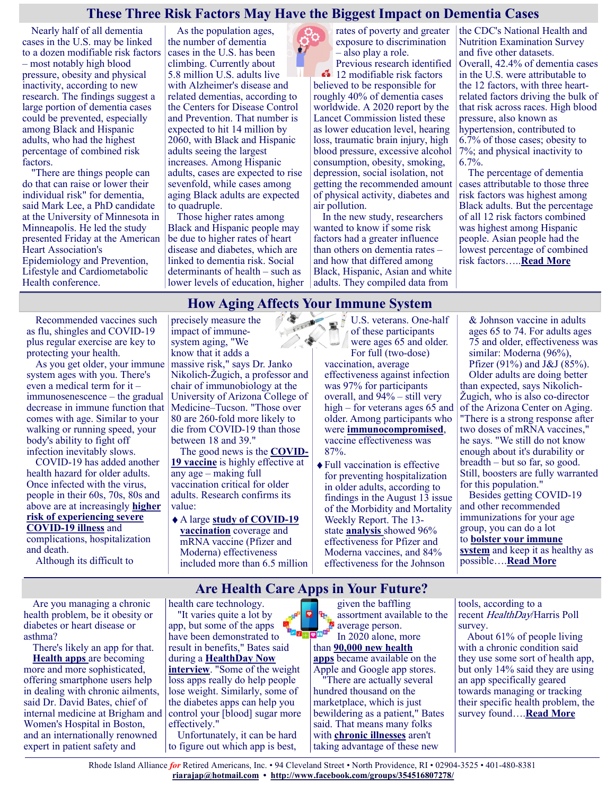## **These Three Risk Factors May Have the Biggest Impact on Dementia Cases**

Nearly half of all dementia cases in the U.S. may be linked to a dozen modifiable risk factors – most notably high blood pressure, obesity and physical inactivity, according to new research. The findings suggest a large portion of dementia cases could be prevented, especially among Black and Hispanic adults, who had the highest percentage of combined risk factors.

"There are things people can do that can raise or lower their individual risk" for dementia, said Mark Lee, a PhD candidate at the University of Minnesota in Minneapolis. He led the study presented Friday at the American Heart Association's Epidemiology and Prevention, Lifestyle and Cardiometabolic Health conference.

As the population ages, the number of dementia cases in the U.S. has been climbing. Currently about 5.8 million U.S. adults live with Alzheimer's disease and related dementias, according to the Centers for Disease Control and Prevention. That number is expected to hit 14 million by 2060, with Black and Hispanic adults seeing the largest increases. Among Hispanic adults, cases are expected to rise sevenfold, while cases among aging Black adults are expected to quadruple.

Those higher rates among Black and Hispanic people may be due to higher rates of heart disease and diabetes, which are linked to dementia risk. Social determinants of health – such as lower levels of education, higher

rates of poverty and greater the CDC's National Health and exposure to discrimination – also play a role.

Previous research identified **12** modifiable risk factors believed to be responsible for roughly 40% of dementia cases worldwide. A 2020 report by the Lancet Commission listed these as lower education level, hearing loss, traumatic brain injury, high blood pressure, excessive alcohol consumption, obesity, smoking, depression, social isolation, not getting the recommended amount of physical activity, diabetes and air pollution.

In the new study, researchers wanted to know if some risk factors had a greater influence than others on dementia rates – and how that differed among Black, Hispanic, Asian and white adults. They compiled data from

Nutrition Examination Survey and five other datasets. Overall, 42.4% of dementia cases in the U.S. were attributable to the 12 factors, with three heartrelated factors driving the bulk of that risk across races. High blood pressure, also known as hypertension, contributed to 6.7% of those cases; obesity to 7%; and physical inactivity to 6.7%.

The percentage of dementia cases attributable to those three risk factors was highest among Black adults. But the percentage of all 12 risk factors combined was highest among Hispanic people. Asian people had the lowest percentage of combined risk factors…..**[Read More](https://consumer.healthday.com/aha-news-these-three-risk-factors-may-have-the-biggest-impact-on-dementia-cases-2656844470.html)**

## **How Aging Affects Your Immune System**

Recommended vaccines such as flu, shingles and COVID-19 plus regular exercise are key to protecting your health.

As you get older, your immune system ages with you. There's even a medical term for it – immunosenescence – the gradual decrease in immune function that comes with age. Similar to your walking or running speed, your body's ability to fight off infection inevitably slows.

COVID-19 has added another health hazard for older adults. Once infected with the virus, people in their 60s, 70s, 80s and above are at increasingly **[higher](https://health.usnews.com/conditions/articles/how-coronavirus-affects-older-adults)  [risk of experiencing severe](https://health.usnews.com/conditions/articles/how-coronavirus-affects-older-adults)** 

**COVID-[19 illness](https://health.usnews.com/conditions/articles/how-coronavirus-affects-older-adults)** and complications, hospitalization and death.

Although its difficult to

precisely measure the impact of immunesystem aging, "We know that it adds a

massive risk," says Dr. Janko Nikolich-Žugich, a professor and chair of immunobiology at the University of Arizona College of Medicine–Tucson. "Those over 80 are 260-fold more likely to die from COVID-19 than those between 18 and 39."

The good news is the **[COVID](https://health.usnews.com/health-care/patient-advice/articles/questions-to-ask-your-doctor-about-the-covid-19-vaccine)-[19 vaccine](https://health.usnews.com/health-care/patient-advice/articles/questions-to-ask-your-doctor-about-the-covid-19-vaccine)** is highly effective at any age – making full vaccination critical for older adults. Research confirms its value:

A large **study [of COVID](https://jamanetwork.com/journals/jamanetworkopen/fullarticle/2784769)-19 [vaccination](https://jamanetwork.com/journals/jamanetworkopen/fullarticle/2784769)** coverage and mRNA vaccine (Pfizer and Moderna) effectiveness included more than 6.5 million

START ST U.S. veterans. One-half of these participants were ages 65 and older. For full (two-dose) vaccination, average effectiveness against infection was 97% for participants overall, and  $94\%$  – still very high – for veterans ages 65 and older. Among participants who were **[immunocompromised](https://health.usnews.com/conditions/articles/immuncompromised-and-coronavirus-how-to-protect-yourself)**, vaccine effectiveness was 87%.

> Full vaccination is effective for preventing hospitalization in older adults, according to findings in the August 13 issue of the Morbidity and Mortality Weekly Report. The 13 state **[analysis](https://www.cdc.gov/mmwr/volumes/70/wr/mm7032e3.htm)** showed 96% effectiveness for Pfizer and Moderna vaccines, and 84% effectiveness for the Johnson

& Johnson vaccine in adults ages 65 to 74. For adults ages 75 and older, effectiveness was similar: Moderna (96%), Pfizer (91%) and J&J (85%). Older adults are doing better than expected, says Nikolich-Žugich, who is also co-director of the Arizona Center on Aging. "There is a strong response after two doses of mRNA vaccines," he says. "We still do not know enough about it's durability or breadth – but so far, so good. Still, boosters are fully warranted for this population."

Besides getting COVID-19 and other recommended immunizations for your age group, you can do a lot to **[bolster your immune](https://health.usnews.com/wellness/slideshows/ways-to-boost-your-immune-system)  [system](https://health.usnews.com/wellness/slideshows/ways-to-boost-your-immune-system)** and keep it as healthy as possible….**[Read More](https://health.usnews.com/health-care/patient-advice/articles/how-aging-can-affect-your-immune-system)**

## **Are Health Care Apps in Your Future?**

Are you managing a chronic health problem, be it obesity or diabetes or heart disease or asthma?

There's likely an app for that. **[Health apps](https://hbr.org/2021/05/do-health-apps-really-make-us-healthier)** are becoming more and more sophisticated, offering smartphone users help in dealing with chronic ailments, said Dr. David Bates, chief of internal medicine at Brigham and Women's Hospital in Boston, and an internationally renowned expert in patient safety and

health care technology. "It varies quite a lot by app, but some of the apps have been demonstrated to result in benefits," Bates said during a **[HealthDay Now](https://consumer.healthday.com/healthday-now-are-apps-the-future-of-chronic-condition-care-2656837122.html)  [interview](https://consumer.healthday.com/healthday-now-are-apps-the-future-of-chronic-condition-care-2656837122.html)**. "Some of the weight loss apps really do help people lose weight. Similarly, some of the diabetes apps can help you control your [blood] sugar more effectively." Unfortunately, it can be hard

to figure out which app is best,

given the baffling assortment available to the **average person.**<br>**B**<sup>1</sup> **average person.** In 2020 alone, more than **[90,000 new health](https://www.mobihealthnews.com/news/digital-health-apps-balloon-more-350000-available-market-according-iqvia-report#:~:text=The%20number%20of%20consumer%20digital,health%20apps%20available%20to%20consumers.)  [apps](https://www.mobihealthnews.com/news/digital-health-apps-balloon-more-350000-available-market-according-iqvia-report#:~:text=The%20number%20of%20consumer%20digital,health%20apps%20available%20to%20consumers.)** became available on the Apple and Google app stores. "There are actually several hundred thousand on the marketplace, which is just bewildering as a patient," Bates said. That means many folks with **[chronic illnesses](https://www.cdc.gov/chronicdisease/about/index.htm)** aren't taking advantage of these new

tools, according to a recent HealthDay/Harris Poll survey.

About 61% of people living with a chronic condition said they use some sort of health app, but only 14% said they are using an app specifically geared towards managing or tracking their specific health problem, the survey found….**[Read More](https://consumer.healthday.com/3-7-are-health-care-apps-in-your-future-2656833847.html)**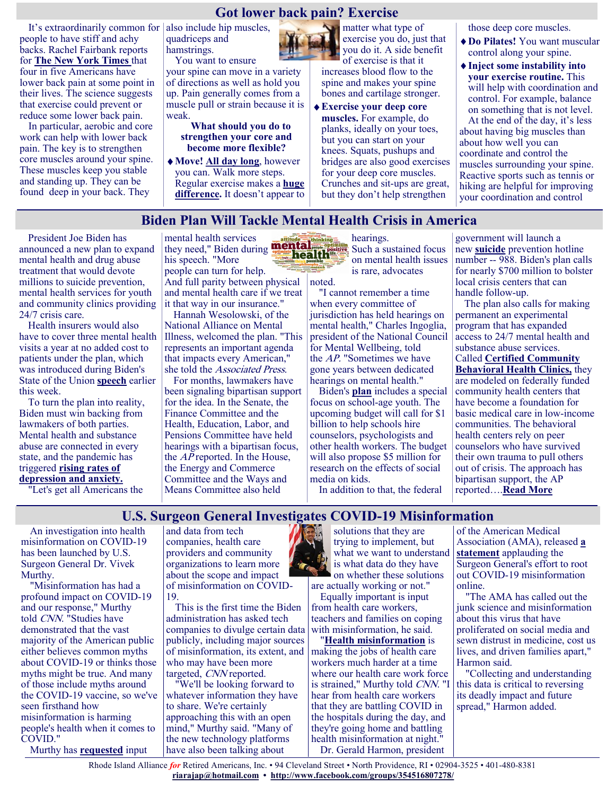## **Got lower back pain? Exercise**

It's extraordinarily common for people to have stiff and achy backs. Rachel Fairbank reports for **The New [York Times](https://www.nytimes.com/2022/02/25/well/move/back-pain-exercises.html)** that four in five Americans have lower back pain at some point in their lives. The science suggests that exercise could prevent or reduce some lower back pain.

In particular, aerobic and core work can help with lower back pain. The key is to strengthen core muscles around your spine. These muscles keep you stable and standing up. They can be found deep in your back. They

also include hip muscles, quadriceps and hamstrings. You want to ensure

your spine can move in a variety of directions as well as hold you up. Pain generally comes from a muscle pull or strain because it is weak.

**What should you do to strengthen your core and become more flexible?**

**Move! [All day long](https://justcareusa.org/to-stay-healthy-exercise-and-sit-less/)**, however you can. Walk more steps. Regular exercise makes a **[huge](https://bjsm.bmj.com/content/55/9/468.abstract)  [difference.](https://bjsm.bmj.com/content/55/9/468.abstract)** It doesn't appear to

matter what type of exercise you do, just that you do it. A side benefit of exercise is that it increases blood flow to the

spine and makes your spine

bones and cartilage stronger. **Exercise your deep core muscles.** For example, do planks, ideally on your toes, but you can start on your knees. Squats, pushups and bridges are also good exercises for your deep core muscles. Crunches and sit-ups are great,

but they don't help strengthen

those deep core muscles.

- **Do Pilates!** You want muscular control along your spine.
- **Inject some instability into your exercise routine.** This will help with coordination and control. For example, balance on something that is not level.

At the end of the day, it's less about having big muscles than about how well you can coordinate and control the muscles surrounding your spine. Reactive sports such as tennis or hiking are helpful for improving your coordination and control

#### **Biden Plan Will Tackle Mental Health Crisis in America**

President Joe Biden has announced a new plan to expand mental health and drug abuse treatment that would devote millions to suicide prevention, mental health services for youth and community clinics providing 24/7 crisis care.

Health insurers would also have to cover three mental health visits a year at no added cost to patients under the plan, which was introduced during Biden's State of the Union **[speech](https://www.whitehouse.gov/briefing-room/speeches-remarks/2022/03/01/remarks-of-president-joe-biden-state-of-the-union-address-as-delivered/)** earlier this week.

To turn the plan into reality, Biden must win backing from lawmakers of both parties. Mental health and substance abuse are connected in every state, and the pandemic has triggered **[rising rates of](https://www.kff.org/report-section/the-implications-of-covid-19-for-mental-health-and-substance-use-issue-brief/)  [depression and anxiety.](https://www.kff.org/report-section/the-implications-of-covid-19-for-mental-health-and-substance-use-issue-brief/)**

"Let's get all Americans the

mental health services they need," Biden during **Internal Property Such a sustained focus** his speech. "More people can turn for help. And full parity between physical and mental health care if we treat it that way in our insurance."

Hannah Wesolowski, of the National Alliance on Mental Illness, welcomed the plan. "This represents an important agenda that impacts every American," she told the Associated Press.

For months, lawmakers have been signaling bipartisan support for the idea. In the Senate, the Finance Committee and the Health, Education, Labor, and Pensions Committee have held hearings with a bipartisan focus, the AP reported. In the House, the Energy and Commerce Committee and the Ways and Means Committee also held

hearings. on mental health issues is rare, advocates noted.

"I cannot remember a time when every committee of jurisdiction has held hearings on mental health," Charles Ingoglia, president of the National Council for Mental Wellbeing, told the AP. "Sometimes we have gone years between dedicated hearings on mental health."

Biden's **[plan](https://www.whitehouse.gov/briefing-room/statements-releases/2022/03/01/fact-sheet-president-biden-to-announce-strategy-to-address-our-national-mental-health-crisis-as-part-of-unity-agenda-in-his-first-state-of-the-union/)** includes a special focus on school-age youth. The upcoming budget will call for \$1 billion to help schools hire counselors, psychologists and other health workers. The budget will also propose \$5 million for research on the effects of social media on kids.

In addition to that, the federal

government will launch a new **[suicide](https://www.cdc.gov/suicide/facts/index.html)** prevention hotline number -- 988. Biden's plan calls for nearly \$700 million to bolster local crisis centers that can handle follow-up.

The plan also calls for making permanent an experimental program that has expanded access to 24/7 mental health and substance abuse services. Called **[Certified Community](https://www.thenationalcouncil.org/ccbhc-success-center/ccbhcta-overview/)  [Behavioral Health Clinics,](https://www.thenationalcouncil.org/ccbhc-success-center/ccbhcta-overview/)** they are modeled on federally funded community health centers that have become a foundation for basic medical care in low-income communities. The behavioral health centers rely on peer counselors who have survived their own trauma to pull others out of crisis. The approach has bipartisan support, the AP reported….**[Read More](https://consumer.healthday.com/mental-health-2656841014.html)**

**U.S. Surgeon General Investigates COVID-19 Misinformation**

An investigation into health misinformation on COVID-19 has been launched by U.S. Surgeon General Dr. Vivek Murthy.

"Misinformation has had a profound impact on COVID-19 and our response," Murthy told CNN. "Studies have demonstrated that the vast majority of the American public either believes common myths about COVID-19 or thinks those myths might be true. And many of those include myths around the COVID-19 vaccine, so we've seen firsthand how misinformation is harming people's health when it comes to COVID."

Murthy has **[requested](https://www.hhs.gov/surgeongeneral/health-misinformation-rfi/index.html)** input

and data from tech companies, health care providers and community organizations to learn more about the scope and impact of misinformation on COVID-19.

This is the first time the Biden administration has asked tech companies to divulge certain data publicly, including major sources of misinformation, its extent, and who may have been more targeted, CNN reported.

"We'll be looking forward to whatever information they have to share. We're certainly approaching this with an open mind," Murthy said. "Many of the new technology platforms have also been talking about



solutions that they are trying to implement, but what we want to understand is what data do they have on whether these solutions

are actually working or not." Equally important is input from health care workers, teachers and families on coping with misinformation, he said.

"**[Health misinformation](https://www.kff.org/coronavirus-covid-19/press-release/covid-19-misinformation-is-ubiquitous-78-of-the-public-believes-or-is-unsure-about-at-least-one-false-statement-and-nearly-at-third-believe-at-least-four-of-eight-false-statements-tested/)** is making the jobs of health care workers much harder at a time where our health care work force is strained," Murthy told CNN. "I hear from health care workers that they are battling COVID in the hospitals during the day, and they're going home and battling health misinformation at night." Dr. Gerald Harmon, president

of the American Medical Association (AMA), released **[a](https://www.ama-assn.org/press-center/press-releases/ama-applauds-surgeon-general-effort-stop-covid-19-misinformation)  [statement](https://www.ama-assn.org/press-center/press-releases/ama-applauds-surgeon-general-effort-stop-covid-19-misinformation)** applauding the Surgeon General's effort to root out COVID-19 misinformation online.

"The AMA has called out the junk science and misinformation about this virus that have proliferated on social media and sewn distrust in medicine, cost us lives, and driven families apart," Harmon said.

"Collecting and understanding this data is critical to reversing its deadly impact and future spread," Harmon added.